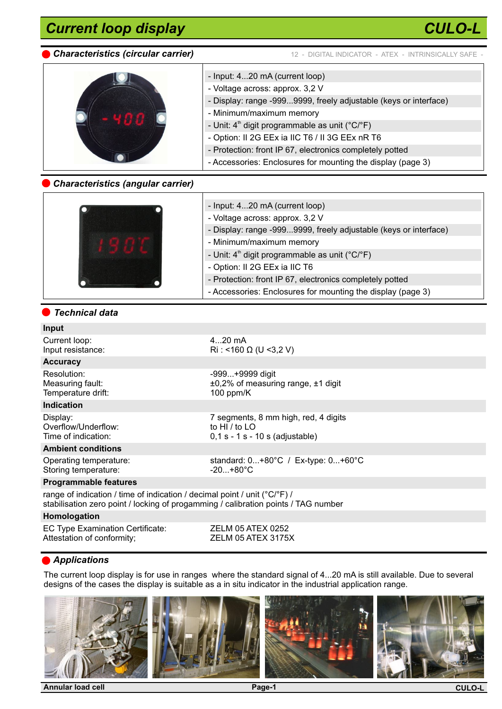# *Current loop display*



*CULO-L*



- Input: 4...20 mA (current loop) - Voltage across: approx. 3,2 V - Display: range -999...9999, freely adjustable (keys or interface) - Minimum/maximum memory - Unit:  $4<sup>th</sup>$  digit programmable as unit ( $°C$ <sup> $\circ$ </sup>F) - Option: II 2G EEx ia IIC T6 / II 3G EEx nR T6 - Protection: front IP 67, electronics completely potted - Accessories: Enclosures for mounting the display (page 3)

# *Characteristics (angular carrier)*

| - Input: 420 mA (current loop)                                   |
|------------------------------------------------------------------|
| - Voltage across: approx. 3,2 V                                  |
| - Display: range -9999999, freely adjustable (keys or interface) |
| - Minimum/maximum memory                                         |
| - Unit: $4th$ digit programmable as unit ( $°C$ / $\degree$ F)   |
| - Option: II 2G EEx ia IIC T6                                    |
| - Protection: front IP 67, electronics completely potted         |
| - Accessories: Enclosures for mounting the display (page 3)      |

#### *Technical data*

# **Input**

| Current loop:<br>Input resistance:                                                                                                                                                    | $420$ mA<br>$\text{Ri}:$ <160 $\Omega$ (U <3,2 V)                                                 |
|---------------------------------------------------------------------------------------------------------------------------------------------------------------------------------------|---------------------------------------------------------------------------------------------------|
| <b>Accuracy</b>                                                                                                                                                                       |                                                                                                   |
| Resolution:<br>Measuring fault:<br>Temperature drift:                                                                                                                                 | -999+9999 digit<br>$±0,2%$ of measuring range, $±1$ digit<br>100 ppm/ $K$                         |
| <b>Indication</b>                                                                                                                                                                     |                                                                                                   |
| Display:<br>Overflow/Underflow:<br>Time of indication:                                                                                                                                | 7 segments, 8 mm high, red, 4 digits<br>to HI $\prime$ to LO<br>$0,1 s - 1 s - 10 s$ (adjustable) |
| <b>Ambient conditions</b>                                                                                                                                                             |                                                                                                   |
| Operating temperature:<br>Storing temperature:                                                                                                                                        | standard: $0+80^{\circ}C$ / Ex-type: $0+60^{\circ}C$<br>$-20+80^{\circ}$ C                        |
| <b>Programmable features</b>                                                                                                                                                          |                                                                                                   |
| range of indication / time of indication / decimal point / unit ( $^{\circ}$ C/ $^{\circ}$ F) /<br>stabilisation zero point / locking of progamming / calibration points / TAG number |                                                                                                   |
|                                                                                                                                                                                       |                                                                                                   |

#### **Homologation**

EC Type Examination Certificate: <br>Attestation of conformity; <br>ZELM 05 ATEX 3175X Attestation of conformity;

# *Applications*

The current loop display is for use in ranges where the standard signal of 4...20 mA is still available. Due to several designs of the cases the display is suitable as a in situ indicator in the industrial application range.

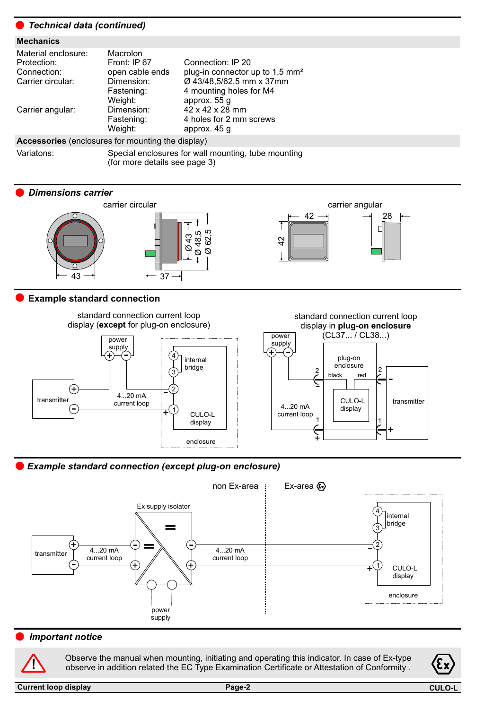| ● Technical data (continued)                                                                       |                                                                                    |                                                                                                                                         |  |  |  |  |
|----------------------------------------------------------------------------------------------------|------------------------------------------------------------------------------------|-----------------------------------------------------------------------------------------------------------------------------------------|--|--|--|--|
| <b>Mechanics</b>                                                                                   |                                                                                    |                                                                                                                                         |  |  |  |  |
| Material enclosure:<br>Protection:<br>Connection:<br>Carrier circular:                             | Macrolon<br>Front: IP 67<br>open cable ends<br>Dimension:<br>Fastening:<br>Weight: | Connection: IP 20<br>plug-in connector up to 1,5 mm <sup>2</sup><br>Ø 43/48,5/62,5 mm x 37mm<br>4 mounting holes for M4<br>approx. 55 g |  |  |  |  |
| Carrier angular:                                                                                   | Dimension:<br>Fastening:<br>Weight:                                                | $42 \times 42 \times 28$ mm<br>4 holes for 2 mm screws<br>approx. 45 q                                                                  |  |  |  |  |
| <b>Accessories</b> (enclosures for mounting the display)                                           |                                                                                    |                                                                                                                                         |  |  |  |  |
| Variatons:<br>Special enclosures for wall mounting, tube mounting<br>(for more details see page 3) |                                                                                    |                                                                                                                                         |  |  |  |  |

#### *Dimensions carrier*



# **Example standard connection**



# *Example standard connection (except plug-on enclosure)*



# *Important notice*

**!**

Observe the manual when mounting, initiating and operating this indicator. In case of Ex-type observe in addition related the EC Type Examination Certificate or Attestation of Conformity .

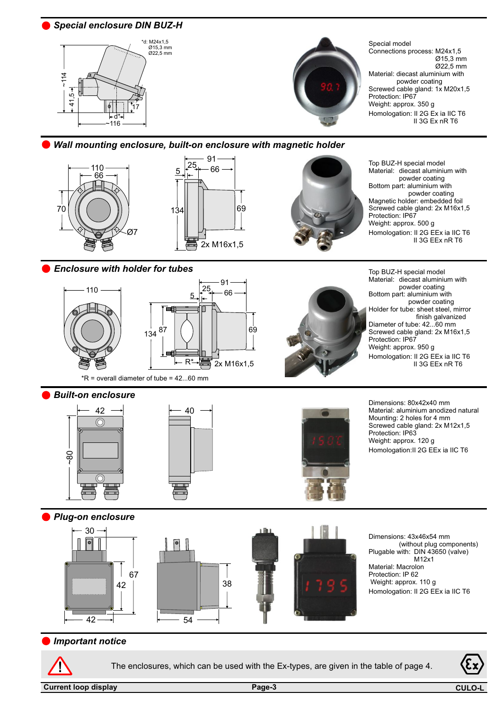*Special enclosure DIN BUZ-H*





Special model Connections process: M24x1,5 Ø15,3 mm Ø22,5 mm Material: diecast aluminium with powder coating Screwed cable gland: 1x M20x1,5 Protection: IP67 Weight: approx. 350 g Homologation: II 2G Ex ia IIC T6 II 3G Ex nR T6

#### *Wall mounting enclosure, built-on enclosure with magnetic holder*







Top BUZ-H special model Material: diecast aluminium with powder coating Bottom part: aluminium with powder coating Magnetic holder: embedded foil Screwed cable gland: 2x M16x1,5 Protection: IP67 Weight: approx. 500 g Homologation: II 2G EEx ia IIC T6 II 3G EEx nR T6

 powder coating Holder for tube: sheet steel, mirror

finish galvanized

II 3G EEx nR T6

Top BUZ-H special model Material: diecast aluminium with powder coating Bottom part: aluminium with

Diameter of tube: 42...60 mm Screwed cable gland: 2x M16x1,5

Homologation: II 2G EEx ia IIC T6

Protection: IP67 Weight: approx. 950 g

*Enclosure with holder for tubes*



 $*R$  = overall diameter of tube = 42...60 mm

#### *Built-on enclosure*







Dimensions: 80x42x40 mm Material: aluminium anodized natural Mounting: 2 holes for 4 mm Screwed cable gland: 2x M12x1,5 Protection: IP63 Weight: approx. 120 g Homologation:II 2G EEx ia IIC T6

*Plug-on enclosure*







Dimensions: 43x46x54 mm (without plug components) Plugable with: DIN 43650 (valve) M12x1 Material: Macrolon Protection: IP 62 Weight: approx. 110 g Homologation: II 2G EEx ia IIC T6

#### *Important notice*



The enclosures, which can be used with the Ex-types, are given in the table of page 4.

**Current loop display Page-3** 

**CUL**